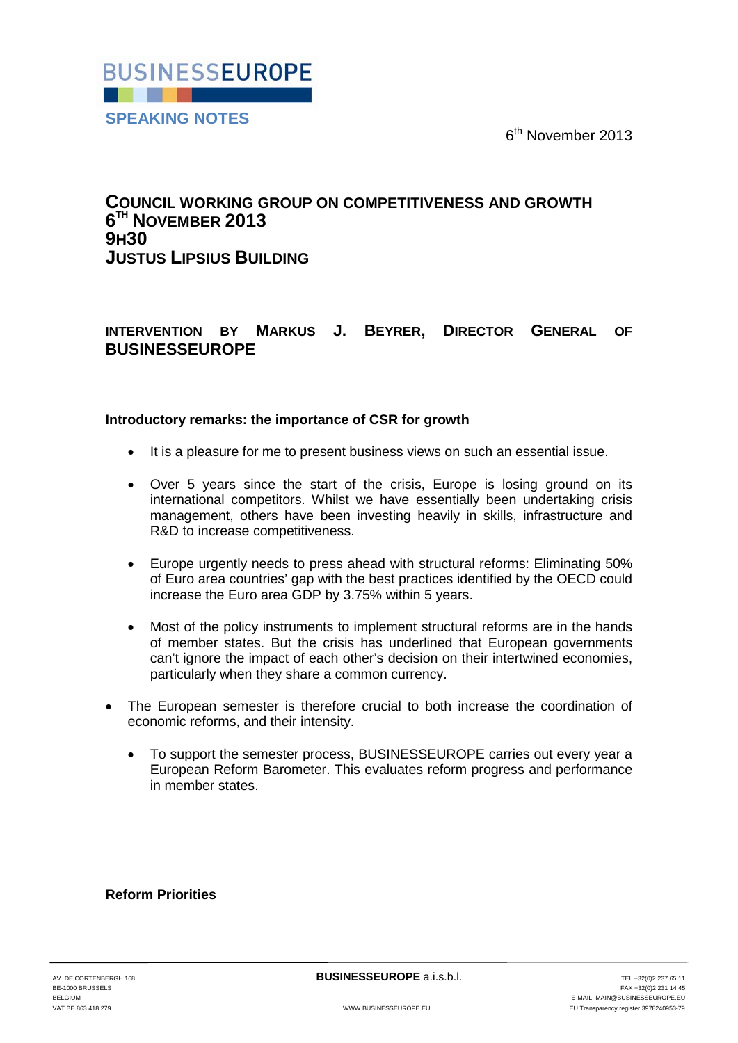6<sup>th</sup> November 2013



# **COUNCIL WORKING GROUP ON COMPETITIVENESS AND GROWTH 6TH NOVEMBER 2013 9H30 JUSTUS LIPSIUS BUILDING**

## **INTERVENTION BY MARKUS J. BEYRER, DIRECTOR GENERAL OF BUSINESSEUROPE**

### **Introductory remarks: the importance of CSR for growth**

- It is a pleasure for me to present business views on such an essential issue.
- Over 5 years since the start of the crisis. Europe is losing ground on its international competitors. Whilst we have essentially been undertaking crisis management, others have been investing heavily in skills, infrastructure and R&D to increase competitiveness.
- Europe urgently needs to press ahead with structural reforms: Eliminating 50% of Euro area countries' gap with the best practices identified by the OECD could increase the Euro area GDP by 3.75% within 5 years.
- Most of the policy instruments to implement structural reforms are in the hands of member states. But the crisis has underlined that European governments can't ignore the impact of each other's decision on their intertwined economies, particularly when they share a common currency.
- The European semester is therefore crucial to both increase the coordination of economic reforms, and their intensity.
	- To support the semester process, BUSINESSEUROPE carries out every year a European Reform Barometer. This evaluates reform progress and performance in member states.

**Reform Priorities**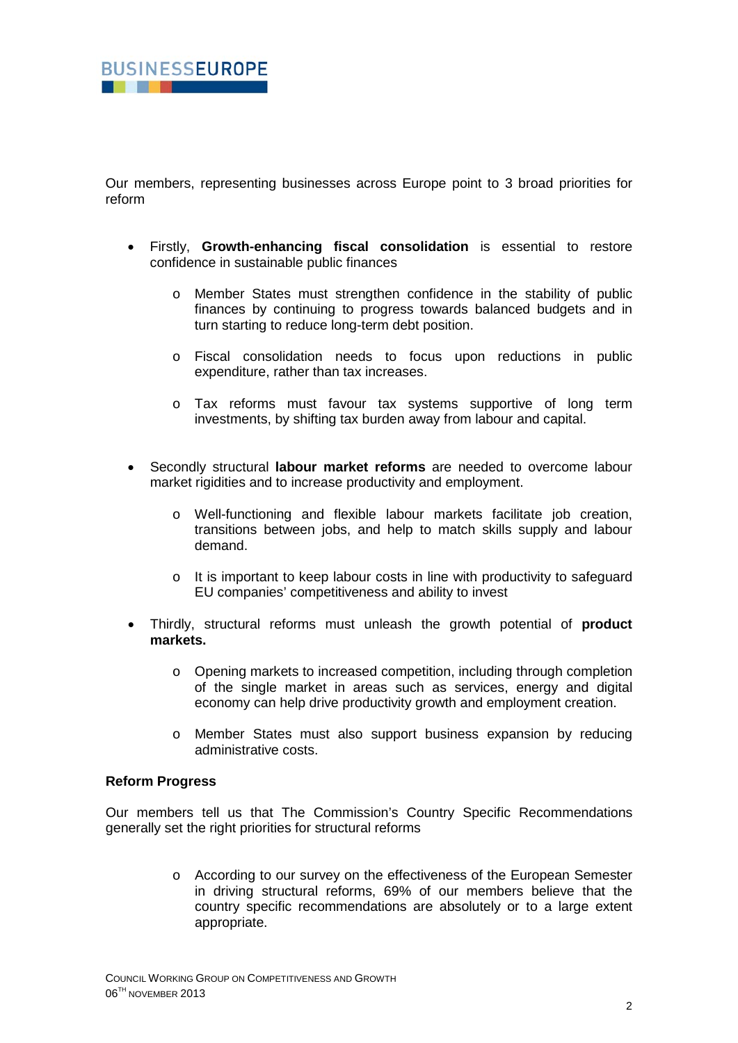

Our members, representing businesses across Europe point to 3 broad priorities for reform

- Firstly, **Growth-enhancing fiscal consolidation** is essential to restore confidence in sustainable public finances
	- o Member States must strengthen confidence in the stability of public finances by continuing to progress towards balanced budgets and in turn starting to reduce long-term debt position.
	- o Fiscal consolidation needs to focus upon reductions in public expenditure, rather than tax increases.
	- o Tax reforms must favour tax systems supportive of long term investments, by shifting tax burden away from labour and capital.
- Secondly structural **labour market reforms** are needed to overcome labour market rigidities and to increase productivity and employment.
	- o Well-functioning and flexible labour markets facilitate job creation, transitions between jobs, and help to match skills supply and labour demand.
	- o It is important to keep labour costs in line with productivity to safeguard EU companies' competitiveness and ability to invest
- Thirdly, structural reforms must unleash the growth potential of **product markets.**
	- o Opening markets to increased competition, including through completion of the single market in areas such as services, energy and digital economy can help drive productivity growth and employment creation.
	- o Member States must also support business expansion by reducing administrative costs.

### **Reform Progress**

Our members tell us that The Commission's Country Specific Recommendations generally set the right priorities for structural reforms

> o According to our survey on the effectiveness of the European Semester in driving structural reforms, 69% of our members believe that the country specific recommendations are absolutely or to a large extent appropriate.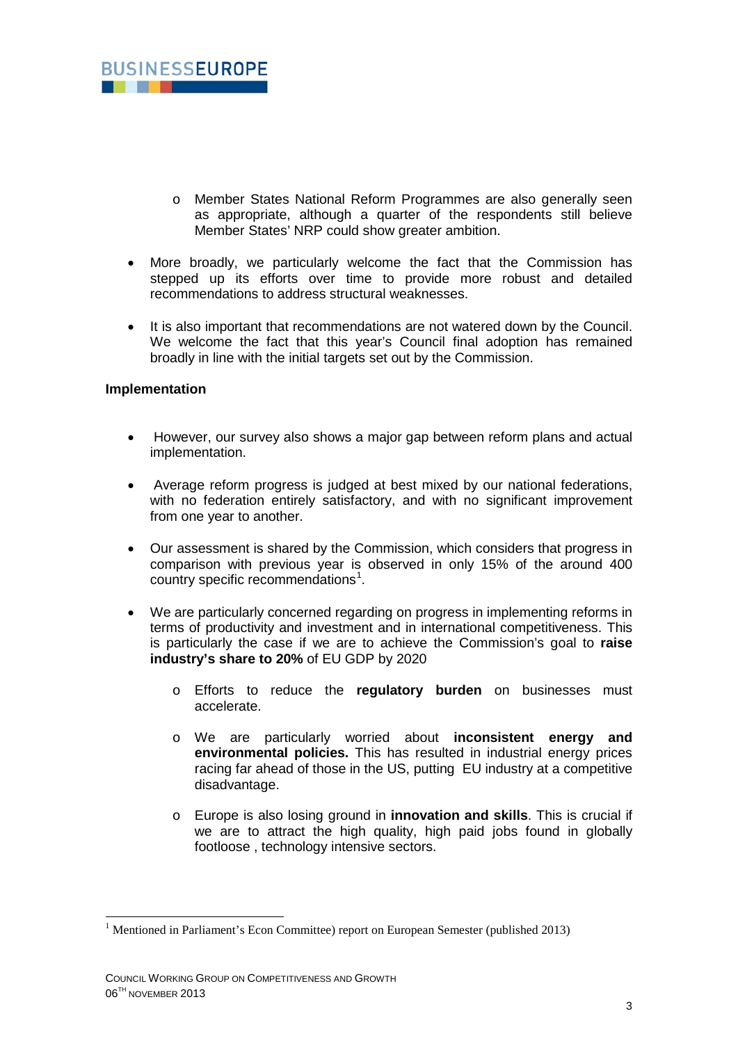

- o Member States National Reform Programmes are also generally seen as appropriate, although a quarter of the respondents still believe Member States' NRP could show greater ambition.
- More broadly, we particularly welcome the fact that the Commission has stepped up its efforts over time to provide more robust and detailed recommendations to address structural weaknesses.
- It is also important that recommendations are not watered down by the Council. We welcome the fact that this year's Council final adoption has remained broadly in line with the initial targets set out by the Commission.

#### **Implementation**

- However, our survey also shows a major gap between reform plans and actual implementation.
- Average reform progress is judged at best mixed by our national federations, with no federation entirely satisfactory, and with no significant improvement from one year to another.
- Our assessment is shared by the Commission, which considers that progress in comparison with previous year is observed in only 15% of the around 400 country specific recommendations<sup>[1](#page-2-0)</sup>.
- We are particularly concerned regarding on progress in implementing reforms in terms of productivity and investment and in international competitiveness. This is particularly the case if we are to achieve the Commission's goal to **raise industry's share to 20%** of EU GDP by 2020
	- o Efforts to reduce the **regulatory burden** on businesses must accelerate.
	- o We are particularly worried about **inconsistent energy and environmental policies.** This has resulted in industrial energy prices racing far ahead of those in the US, putting EU industry at a competitive disadvantage.
	- o Europe is also losing ground in **innovation and skills**. This is crucial if we are to attract the high quality, high paid jobs found in globally footloose , technology intensive sectors.

<span id="page-2-0"></span><sup>1</sup> Mentioned in Parliament's Econ Committee) report on European Semester (published 2013) -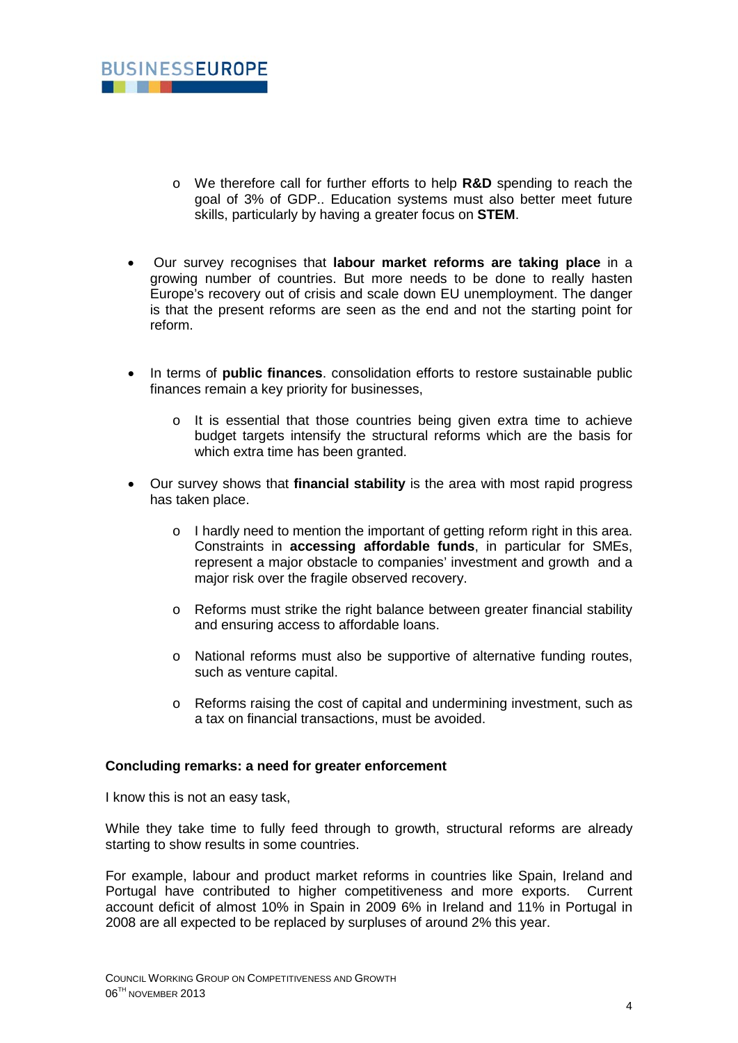

- o We therefore call for further efforts to help **R&D** spending to reach the goal of 3% of GDP.. Education systems must also better meet future skills, particularly by having a greater focus on **STEM**.
- Our survey recognises that **labour market reforms are taking place** in a growing number of countries. But more needs to be done to really hasten Europe's recovery out of crisis and scale down EU unemployment. The danger is that the present reforms are seen as the end and not the starting point for reform.
- In terms of **public finances**. consolidation efforts to restore sustainable public finances remain a key priority for businesses,
	- o It is essential that those countries being given extra time to achieve budget targets intensify the structural reforms which are the basis for which extra time has been granted.
- Our survey shows that **financial stability** is the area with most rapid progress has taken place.
	- o I hardly need to mention the important of getting reform right in this area. Constraints in **accessing affordable funds**, in particular for SMEs, represent a major obstacle to companies' investment and growth and a major risk over the fragile observed recovery.
	- o Reforms must strike the right balance between greater financial stability and ensuring access to affordable loans.
	- o National reforms must also be supportive of alternative funding routes, such as venture capital.
	- o Reforms raising the cost of capital and undermining investment, such as a tax on financial transactions, must be avoided.

### **Concluding remarks: a need for greater enforcement**

I know this is not an easy task,

While they take time to fully feed through to growth, structural reforms are already starting to show results in some countries.

For example, labour and product market reforms in countries like Spain, Ireland and Portugal have contributed to higher competitiveness and more exports. Current account deficit of almost 10% in Spain in 2009 6% in Ireland and 11% in Portugal in 2008 are all expected to be replaced by surpluses of around 2% this year.